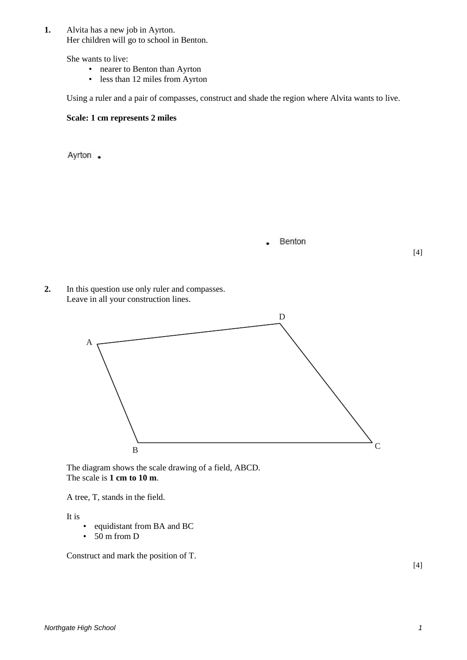**1.** Alvita has a new job in Ayrton. Her children will go to school in Benton.

She wants to live:

- nearer to Benton than Ayrton
- less than 12 miles from Ayrton

Using a ruler and a pair of compasses, construct and shade the region where Alvita wants to live.

## **Scale: 1 cm represents 2 miles**

Ayrton .

Benton

[4]

**2.** In this question use only ruler and compasses. Leave in all your construction lines.



The diagram shows the scale drawing of a field, ABCD. The scale is **1 cm to 10 m**.

A tree, T, stands in the field.

It is

- equidistant from BA and BC
- $\cdot$  50 m from D

Construct and mark the position of T.

[4]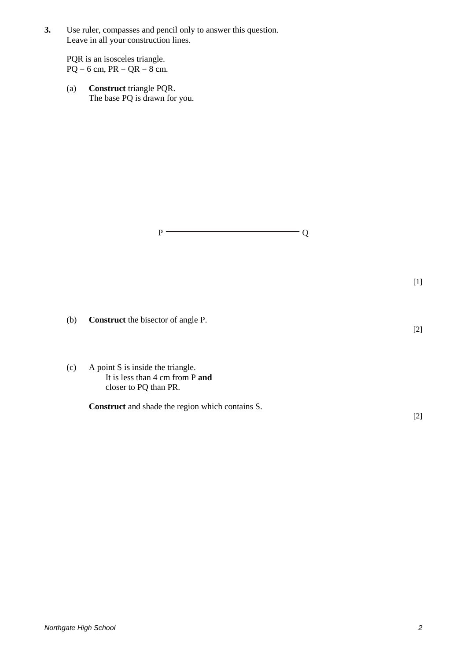**3.** Use ruler, compasses and pencil only to answer this question. Leave in all your construction lines.

PQR is an isosceles triangle.  $PQ = 6$  cm,  $PR = QR = 8$  cm.

(a) **Construct** triangle PQR. The base PQ is drawn for you.

 $P \longrightarrow Q$ 

[1]

[2]

- (b) **Construct** the bisector of angle P.
- (c) A point S is inside the triangle. It is less than 4 cm from P **and** closer to PQ than PR.

**Construct** and shade the region which contains S.

[2]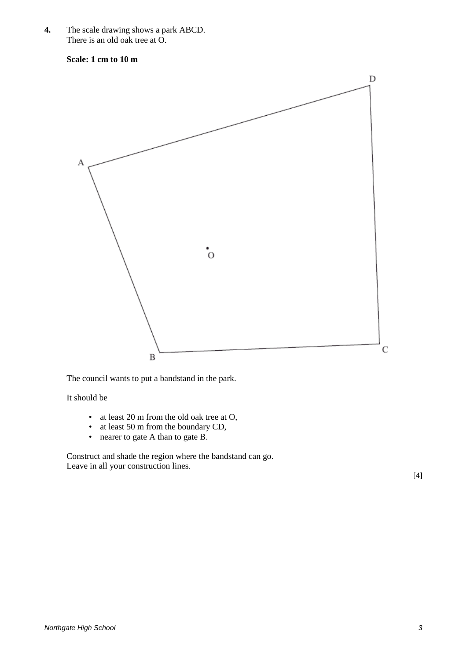**4.** The scale drawing shows a park ABCD. There is an old oak tree at O.

**Scale: 1 cm to 10 m**



The council wants to put a bandstand in the park.

It should be

- at least 20 m from the old oak tree at O,
- at least 50 m from the boundary CD,
- nearer to gate A than to gate B.

Construct and shade the region where the bandstand can go. Leave in all your construction lines.

[4]